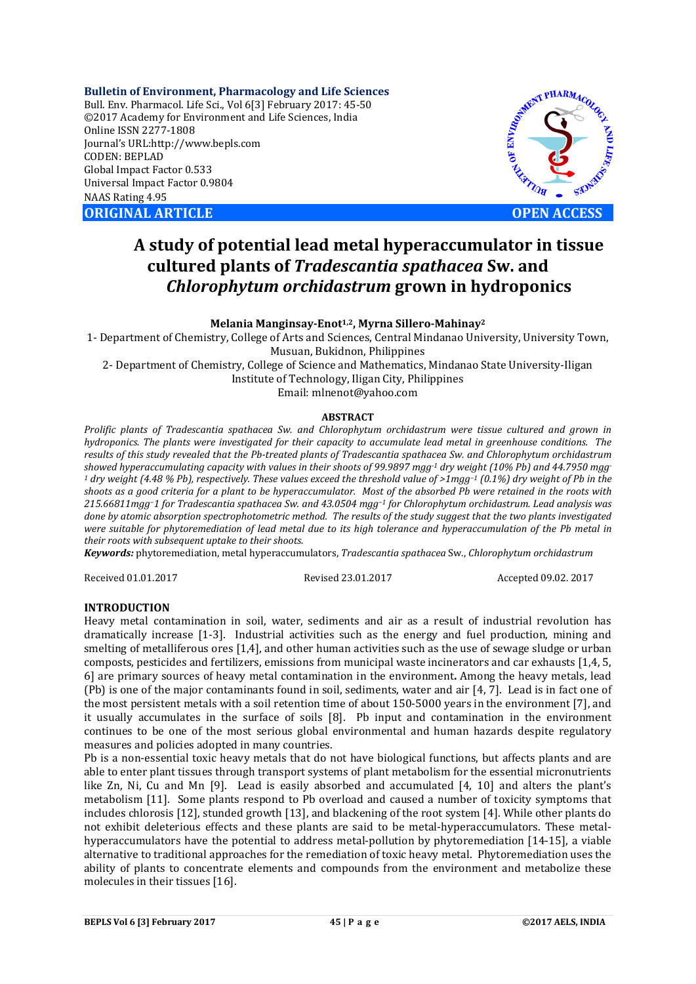**Bulletin of Environment, Pharmacology and Life Sciences** Bull. Env. Pharmacol. Life Sci., Vol 6[3] February 2017: 45-50 ©2017 Academy for Environment and Life Sciences, India Online ISSN 2277-1808 Journal's URL:http://www.bepls.com CODEN: BEPLAD Global Impact Factor 0.533 Universal Impact Factor 0.9804 NAAS Rating 4.95 **ORIGINAL ARTICLE OPEN ACCESS** 



# **A study of potential lead metal hyperaccumulator in tissue cultured plants of** *Tradescantia spathacea* **Sw. and**  *Chlorophytum orchidastrum* **grown in hydroponics**

**Melania Manginsay-Enot1,2, Myrna Sillero-Mahinay2**

1- Department of Chemistry, College of Arts and Sciences, Central Mindanao University, University Town, Musuan, Bukidnon, Philippines

2- Department of Chemistry, College of Science and Mathematics, Mindanao State University-Iligan Institute of Technology, Iligan City, Philippines Email: mlnenot@yahoo.com

### **ABSTRACT**

*Prolific plants of Tradescantia spathacea Sw. and Chlorophytum orchidastrum were tissue cultured and grown in hydroponics. The plants were investigated for their capacity to accumulate lead metal in greenhouse conditions. The results of this study revealed that the Pb-treated plants of Tradescantia spathacea Sw. and Chlorophytum orchidastrum showed hyperaccumulating capacity with values in their shoots of 99.9897 mgg-1 dry weight (10% Pb) and 44.7950 mgg-<sup>1</sup> dry weight (4.48 % Pb), respectively. These values exceed the threshold value of >1mgg−1 (0.1%) dry weight of Pb in the shoots as a good criteria for a plant to be hyperaccumulator. Most of the absorbed Pb were retained in the roots with 215.66811mgg−1 for Tradescantia spathacea Sw. and 43.0504 mgg−1 for Chlorophytum orchidastrum. Lead analysis was done by atomic absorption spectrophotometric method. The results of the study suggest that the two plants investigated were suitable for phytoremediation of lead metal due to its high tolerance and hyperaccumulation of the Pb metal in their roots with subsequent uptake to their shoots.* 

*Keywords:* phytoremediation, metal hyperaccumulators, *Tradescantia spathacea* Sw., *Chlorophytum orchidastrum*

Received 01.01.2017 Revised 23.01.2017 Accepted 09.02. 2017

# **INTRODUCTION**

Heavy metal contamination in soil, water, sediments and air as a result of industrial revolution has dramatically increase [1-3]. Industrial activities such as the energy and fuel production, mining and smelting of metalliferous ores [1,4], and other human activities such as the use of sewage sludge or urban composts, pesticides and fertilizers, emissions from municipal waste incinerators and car exhausts [1,4, 5, 6] are primary sources of heavy metal contamination in the environment**.** Among the heavy metals, lead (Pb) is one of the major contaminants found in soil, sediments, water and air [4, 7]. Lead is in fact one of the most persistent metals with a soil retention time of about 150-5000 years in the environment [7], and it usually accumulates in the surface of soils [8]. Pb input and contamination in the environment continues to be one of the most serious global environmental and human hazards despite regulatory measures and policies adopted in many countries.

Pb is a non-essential toxic heavy metals that do not have biological functions, but affects plants and are able to enter plant tissues through transport systems of plant metabolism for the essential micronutrients like Zn, Ni, Cu and Mn [9]. Lead is easily absorbed and accumulated [4, 10] and alters the plant's metabolism [11]. Some plants respond to Pb overload and caused a number of toxicity symptoms that includes chlorosis [12], stunded growth [13], and blackening of the root system [4]. While other plants do not exhibit deleterious effects and these plants are said to be metal-hyperaccumulators. These metalhyperaccumulators have the potential to address metal-pollution by phytoremediation [14-15], a viable alternative to traditional approaches for the remediation of toxic heavy metal. Phytoremediation uses the ability of plants to concentrate elements and compounds from the environment and metabolize these molecules in their tissues [16].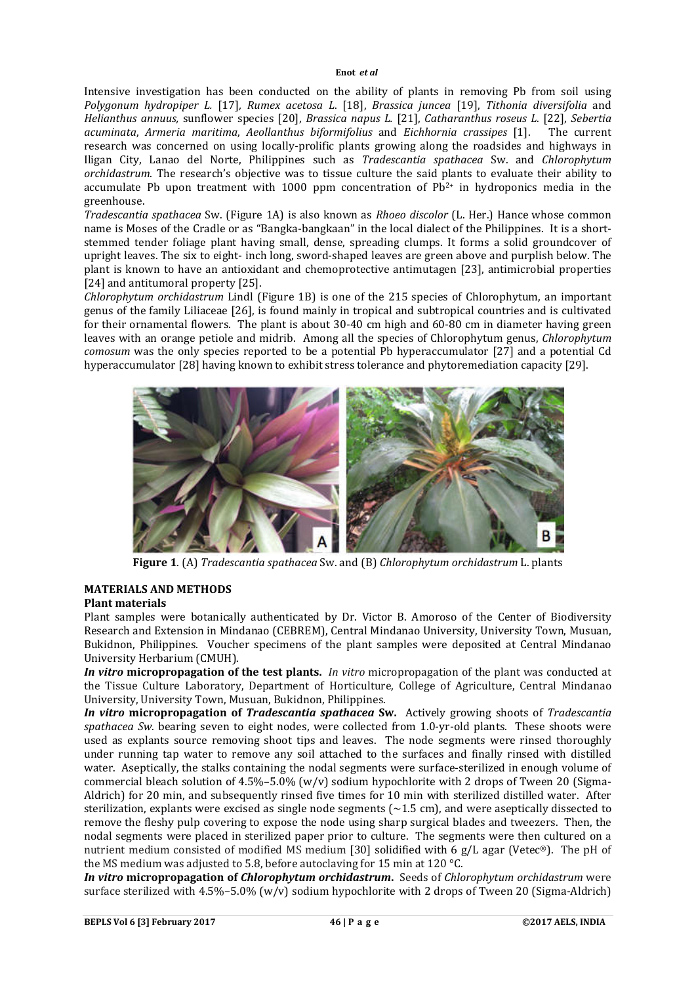Intensive investigation has been conducted on the ability of plants in removing Pb from soil using *Polygonum hydropiper L.* [17]*, Rumex acetosa L*. [18], *Brassica juncea* [19], *Tithonia diversifolia* and *Helianthus annuus,* sunflower species [20], *Brassica napus L.* [21], *Catharanthus roseus L.* [22], *Sebertia acuminata*, *Armeria maritima*, *Aeollanthus biformifolius* and *Eichhornia crassipes* [1]. The current research was concerned on using locally-prolific plants growing along the roadsides and highways in Iligan City, Lanao del Norte, Philippines such as *Tradescantia spathacea* Sw. and *Chlorophytum orchidastrum*. The research's objective was to tissue culture the said plants to evaluate their ability to accumulate Pb upon treatment with 1000 ppm concentration of  $Pb^{2+}$  in hydroponics media in the greenhouse.

*Tradescantia spathacea* Sw. (Figure 1A) is also known as *Rhoeo discolor* (L. Her.) Hance whose common name is Moses of the Cradle or as "Bangka-bangkaan" in the local dialect of the Philippines. It is a shortstemmed tender foliage plant having small, dense, spreading clumps. It forms a solid groundcover of upright leaves. The six to eight- inch long, sword-shaped leaves are green above and purplish below. The plant is known to have an antioxidant and chemoprotective antimutagen [23], antimicrobial properties [24] and antitumoral property [25].

*Chlorophytum orchidastrum* Lindl (Figure 1B) is one of the 215 species of Chlorophytum, an important genus of the family Liliaceae [26], is found mainly in tropical and subtropical countries and is cultivated for their ornamental flowers. The plant is about 30-40 cm high and 60-80 cm in diameter having green leaves with an orange petiole and midrib. Among all the species of Chlorophytum genus, *Chlorophytum comosum* was the only species reported to be a potential Pb hyperaccumulator [27] and a potential Cd hyperaccumulator [28] having known to exhibit stress tolerance and phytoremediation capacity [29].



**Figure 1**. (A) *Tradescantia spathacea* Sw. and (B) *Chlorophytum orchidastrum* L. plants

# **MATERIALS AND METHODS**

#### **Plant materials**

Plant samples were botanically authenticated by Dr. Victor B. Amoroso of the Center of Biodiversity Research and Extension in Mindanao (CEBREM), Central Mindanao University, University Town, Musuan, Bukidnon, Philippines. Voucher specimens of the plant samples were deposited at Central Mindanao University Herbarium (CMUH).

*In vitro* **micropropagation of the test plants.** *In vitro* micropropagation of the plant was conducted at the Tissue Culture Laboratory, Department of Horticulture, College of Agriculture, Central Mindanao University, University Town, Musuan, Bukidnon, Philippines.

*In vitro* **micropropagation of** *Tradescantia spathacea* **Sw.** Actively growing shoots of *Tradescantia spathacea Sw.* bearing seven to eight nodes, were collected from 1.0-yr-old plants. These shoots were used as explants source removing shoot tips and leaves. The node segments were rinsed thoroughly under running tap water to remove any soil attached to the surfaces and finally rinsed with distilled water. Aseptically, the stalks containing the nodal segments were surface-sterilized in enough volume of commercial bleach solution of  $4.5\% - 5.0\%$  (w/v) sodium hypochlorite with 2 drops of Tween 20 (Sigma-Aldrich) for 20 min, and subsequently rinsed five times for 10 min with sterilized distilled water. After sterilization, explants were excised as single node segments (~1.5 cm), and were aseptically dissected to remove the fleshy pulp covering to expose the node using sharp surgical blades and tweezers. Then, the nodal segments were placed in sterilized paper prior to culture. The segments were then cultured on a nutrient medium consisted of modified MS medium [30] solidified with 6 g/L agar (Vetec®). The pH of the MS medium was adjusted to 5.8, before autoclaving for 15 min at 120 °C.

*In vitro* **micropropagation of** *Chlorophytum orchidastrum***.** Seeds of *Chlorophytum orchidastrum* were surface sterilized with  $4.5\% - 5.0\%$  (w/v) sodium hypochlorite with 2 drops of Tween 20 (Sigma-Aldrich)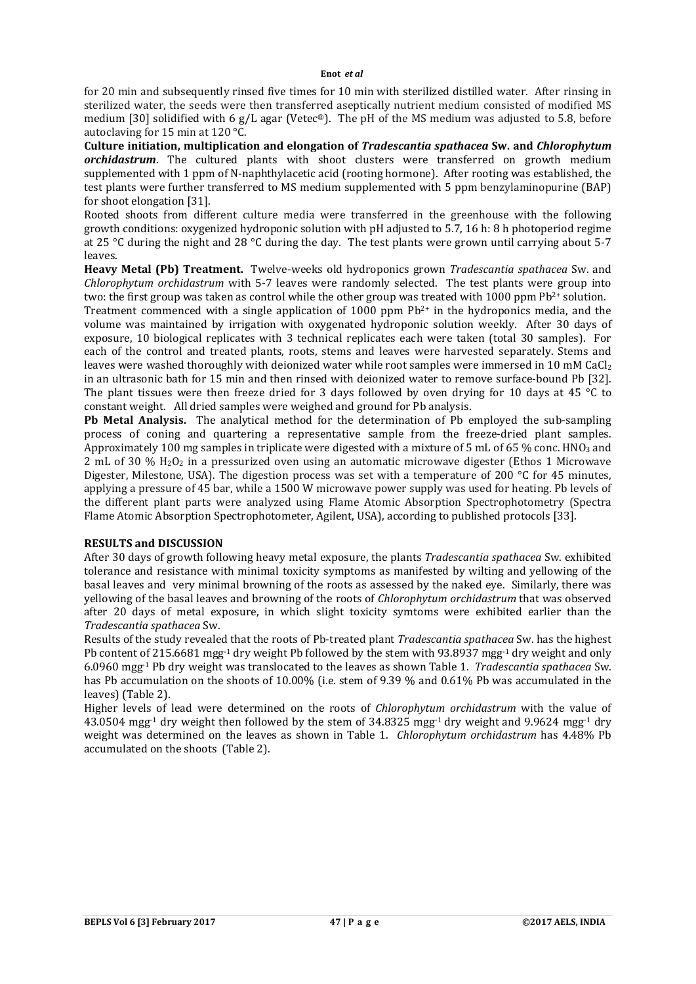for 20 min and subsequently rinsed five times for 10 min with sterilized distilled water. After rinsing in sterilized water, the seeds were then transferred aseptically nutrient medium consisted of modified MS medium [30] solidified with 6 g/L agar (Vetec®). The pH of the MS medium was adjusted to 5.8, before autoclaving for 15 min at 120 °C.

**Culture initiation, multiplication and elongation of** *Tradescantia spathacea* **Sw. and** *Chlorophytum orchidastrum*. The cultured plants with shoot clusters were transferred on growth medium supplemented with 1 ppm of N-naphthylacetic acid (rooting hormone). After rooting was established, the test plants were further transferred to MS medium supplemented with 5 ppm benzylaminopurine (BAP) for shoot elongation [31].

Rooted shoots from different culture media were transferred in the greenhouse with the following growth conditions: oxygenized hydroponic solution with pH adjusted to 5.7, 16 h: 8 h photoperiod regime at 25 °C during the night and 28 °C during the day. The test plants were grown until carrying about 5-7 leaves.

**Heavy Metal (Pb) Treatment.** Twelve-weeks old hydroponics grown *Tradescantia spathacea* Sw. and *Chlorophytum orchidastrum* with 5-7 leaves were randomly selected. The test plants were group into two: the first group was taken as control while the other group was treated with 1000 ppm Pb<sup>2+</sup> solution.

Treatment commenced with a single application of  $1000$  ppm  $Pb<sup>2+</sup>$  in the hydroponics media, and the volume was maintained by irrigation with oxygenated hydroponic solution weekly. After 30 days of exposure, 10 biological replicates with 3 technical replicates each were taken (total 30 samples). For each of the control and treated plants, roots, stems and leaves were harvested separately. Stems and leaves were washed thoroughly with deionized water while root samples were immersed in 10 mM CaCl<sub>2</sub> in an ultrasonic bath for 15 min and then rinsed with deionized water to remove surface-bound Pb [32]. The plant tissues were then freeze dried for 3 days followed by oven drying for 10 days at 45 °C to constant weight. All dried samples were weighed and ground for Pb analysis.

**Pb Metal Analysis.** The analytical method for the determination of Pb employed the sub-sampling process of coning and quartering a representative sample from the freeze-dried plant samples. Approximately 100 mg samples in triplicate were digested with a mixture of 5 mL of 65 % conc. HNO<sub>3</sub> and 2 mL of 30 % H2O2 in a pressurized oven using an automatic microwave digester (Ethos 1 Microwave Digester, Milestone, USA). The digestion process was set with a temperature of 200 °C for 45 minutes, applying a pressure of 45 bar, while a 1500 W microwave power supply was used for heating. Pb levels of the different plant parts were analyzed using Flame Atomic Absorption Spectrophotometry (Spectra Flame Atomic Absorption Spectrophotometer, Agilent, USA), according to published protocols [33].

#### **RESULTS and DISCUSSION**

After 30 days of growth following heavy metal exposure, the plants *Tradescantia spathacea* Sw. exhibited tolerance and resistance with minimal toxicity symptoms as manifested by wilting and yellowing of the basal leaves and very minimal browning of the roots as assessed by the naked eye. Similarly, there was yellowing of the basal leaves and browning of the roots of *Chlorophytum orchidastrum* that was observed after 20 days of metal exposure, in which slight toxicity symtoms were exhibited earlier than the *Tradescantia spathacea* Sw.

Results of the study revealed that the roots of Pb-treated plant *Tradescantia spathacea* Sw. has the highest Pb content of 215.6681 mgg-1 dry weight Pb followed by the stem with 93.8937 mgg-1 dry weight and only 6.0960 mgg-1 Pb dry weight was translocated to the leaves as shown Table 1. *Tradescantia spathacea* Sw. has Pb accumulation on the shoots of 10.00% (i.e. stem of 9.39 % and 0.61% Pb was accumulated in the leaves) (Table 2).

Higher levels of lead were determined on the roots of *Chlorophytum orchidastrum* with the value of 43.0504 mgg-1 dry weight then followed by the stem of 34.8325 mgg-1 dry weight and 9.9624 mgg-1 dry weight was determined on the leaves as shown in Table 1. *Chlorophytum orchidastrum* has 4.48% Pb accumulated on the shoots (Table 2).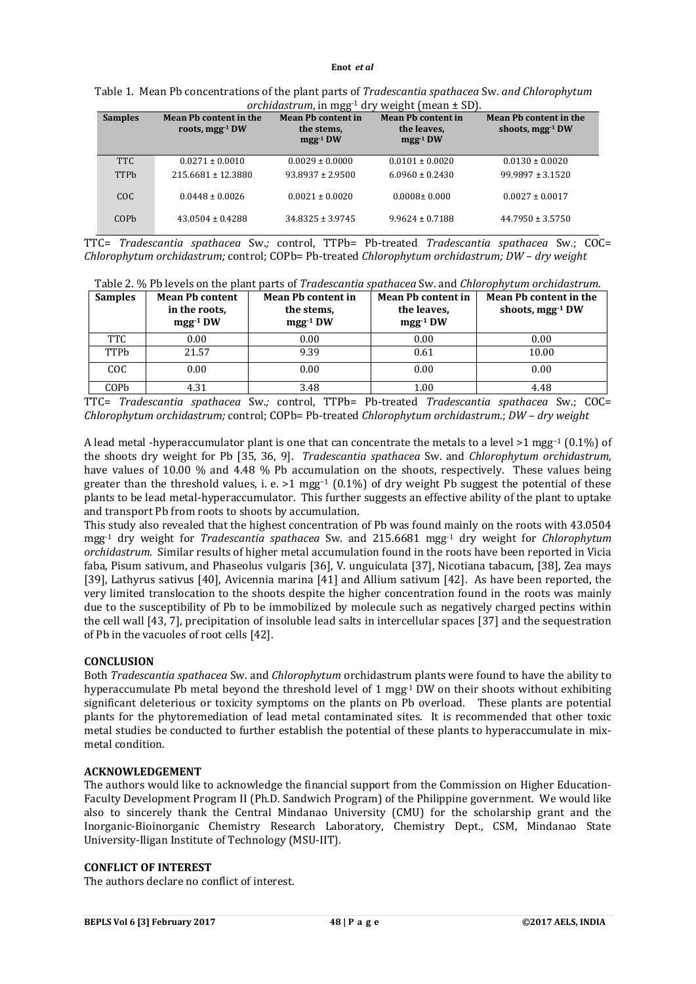| <b>Samples</b> | Mean Pb content in the<br>roots, mgg <sup>-1</sup> DW | <b>Mean Ph content in</b><br>the stems,<br>$mgg-1 DW$ | <b>Mean Ph content in</b><br>the leaves.<br>$mgg-1 DW$ | Mean Ph content in the<br>shoots, $mgg^{-1}DW$ |
|----------------|-------------------------------------------------------|-------------------------------------------------------|--------------------------------------------------------|------------------------------------------------|
| <b>TTC</b>     | $0.0271 \pm 0.0010$                                   | $0.0029 \pm 0.0000$                                   | $0.0101 \pm 0.0020$                                    | $0.0130 \pm 0.0020$                            |
| <b>TTPb</b>    | $215.6681 \pm 12.3880$                                | $93.8937 \pm 2.9500$                                  | $6.0960 \pm 0.2430$                                    | $99.9897 \pm 3.1520$                           |
| COC            | $0.0448 \pm 0.0026$                                   | $0.0021 \pm 0.0020$                                   | $0.0008 \pm 0.000$                                     | $0.0027 \pm 0.0017$                            |
| COPb           | $43.0504 \pm 0.4288$                                  | $34.8325 \pm 3.9745$                                  | $9.9624 \pm 0.7188$                                    | $44.7950 \pm 3.5750$                           |

Table 1. Mean Pb concentrations of the plant parts of *Tradescantia spathacea* Sw. *and Chlorophytum orchidastrum*, in mgg-1 dry weight (mean ± SD).

TTC= *Tradescantia spathacea* Sw.*;* control, TTPb= Pb-treated *Tradescantia spathacea* Sw*.*; COC= *Chlorophytum orchidastrum;* control; COPb= Pb-treated *Chlorophytum orchidastrum; DW – dry weight*

| Table 2. % Pb levels on the plant parts of Tradescantia spathacea Sw. and Chlorophytum orchidastrum. |                        |                           |                           |                        |
|------------------------------------------------------------------------------------------------------|------------------------|---------------------------|---------------------------|------------------------|
| <b>Samples</b>                                                                                       | <b>Mean Pb content</b> | <b>Mean Ph content in</b> | <b>Mean Ph content in</b> | Mean Pb content in the |

| Samples    | <b>Mean Pb content</b><br>in the roots.<br>$mgg-1} DW$ | Mean Pb content in<br>the stems,<br>$mgg-1} DW$ | Mean Pb content in<br>the leaves.<br>$mgg-1} DW$ | Mean Pb content in the<br>shoots, $mgg^{-1}DW$ |
|------------|--------------------------------------------------------|-------------------------------------------------|--------------------------------------------------|------------------------------------------------|
| <b>TTC</b> | 0.00                                                   | 0.00                                            | 0.00                                             | 0.00                                           |
| TTPb       | 21.57                                                  | 9.39                                            | 0.61                                             | 10.00                                          |
| COC        | 0.00                                                   | 0.00                                            | 0.00                                             | 0.00                                           |
| COPb       | 4.31                                                   | 3.48                                            | 1.00                                             | 4.48                                           |

TTC= *Tradescantia spathacea* Sw.*;* control, TTPb= Pb-treated *Tradescantia spathacea* Sw.; COC= *Chlorophytum orchidastrum;* control; COPb= Pb-treated *Chlorophytum orchidastrum*.; *DW – dry weight*

A lead metal -hyperaccumulator plant is one that can concentrate the metals to a level >1 mgg−1 (0.1%) of the shoots dry weight for Pb [35, 36, 9]. *Tradescantia spathacea* Sw. and *Chlorophytum orchidastrum,*  have values of 10.00 % and 4.48 % Pb accumulation on the shoots, respectively. These values being greater than the threshold values, i. e. >1 mgg<sup>-1</sup> (0.1%) of dry weight Pb suggest the potential of these plants to be lead metal-hyperaccumulator. This further suggests an effective ability of the plant to uptake and transport Pb from roots to shoots by accumulation.

This study also revealed that the highest concentration of Pb was found mainly on the roots with 43.0504 mgg-1 dry weight for *Tradescantia spathacea* Sw. and 215.6681 mgg-1 dry weight for *Chlorophytum orchidastrum*. Similar results of higher metal accumulation found in the roots have been reported in Vicia faba, Pisum sativum, and Phaseolus vulgaris [36], V. unguiculata [37], Nicotiana tabacum, [38], Zea mays [39], Lathyrus sativus [40], Avicennia marina [41] and Allium sativum [42]. As have been reported, the very limited translocation to the shoots despite the higher concentration found in the roots was mainly due to the susceptibility of Pb to be immobilized by molecule such as negatively charged pectins within the cell wall [43, 7], precipitation of insoluble lead salts in intercellular spaces [37] and the sequestration of Pb in the vacuoles of root cells [42].

# **CONCLUSION**

Both *Tradescantia spathacea* Sw. and *Chlorophytum* orchidastrum plants were found to have the ability to hyperaccumulate Pb metal beyond the threshold level of 1 mgg $^{-1}$  DW on their shoots without exhibiting significant deleterious or toxicity symptoms on the plants on Pb overload. These plants are potential plants for the phytoremediation of lead metal contaminated sites. It is recommended that other toxic metal studies be conducted to further establish the potential of these plants to hyperaccumulate in mixmetal condition.

#### **ACKNOWLEDGEMENT**

The authors would like to acknowledge the financial support from the Commission on Higher Education-Faculty Development Program II (Ph.D. Sandwich Program) of the Philippine government. We would like also to sincerely thank the Central Mindanao University (CMU) for the scholarship grant and the Inorganic-Bioinorganic Chemistry Research Laboratory, Chemistry Dept., CSM, Mindanao State University-Iligan Institute of Technology (MSU-IIT).

### **CONFLICT OF INTEREST**

The authors declare no conflict of interest.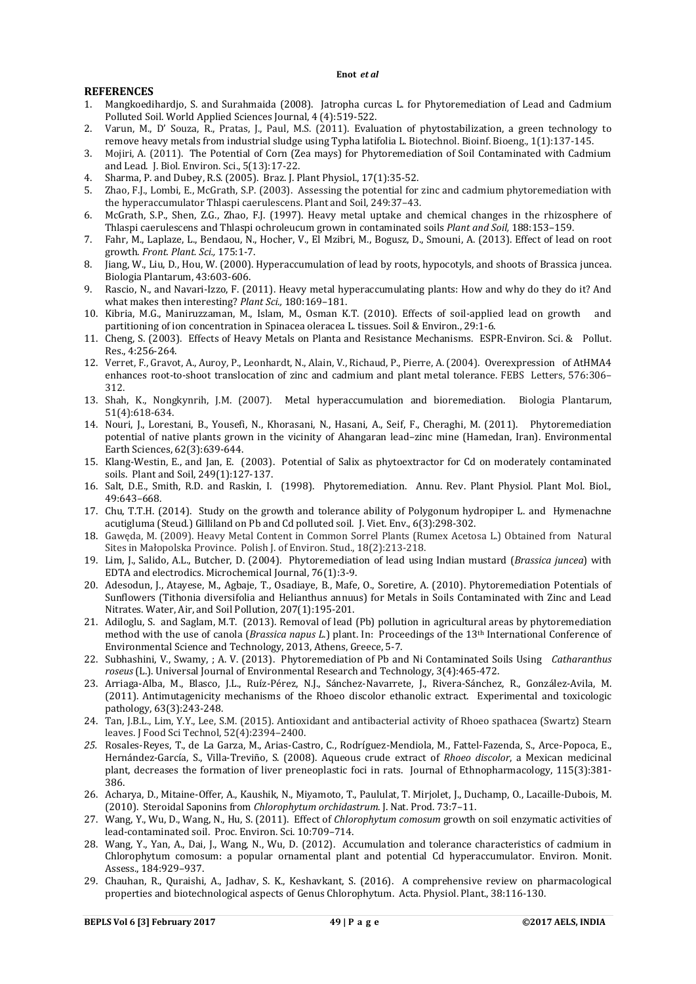#### **REFERENCES**

- 1. Mangkoedihardjo, S. and Surahmaida (2008). Jatropha curcas L. for Phytoremediation of Lead and Cadmium Polluted Soil. World Applied Sciences Journal, 4 (4):519-522.
- 2. Varun, M., D' Souza, R., Pratas, J., Paul, M.S. (2011). Evaluation of phytostabilization, a green technology to remove heavy metals from industrial sludge using Typha latifolia L. Biotechnol. Bioinf. Bioeng., 1(1):137-145.
- 3. Mojiri, A. (2011). The Potential of Corn (Zea mays) for Phytoremediation of Soil Contaminated with Cadmium and Lead. J. Biol. Environ. Sci., 5(13):17-22.
- 4. Sharma, P. and Dubey, R.S. (2005). Braz. J. Plant Physiol., 17(1):35-52.
- 5. Zhao, F.J., Lombi, E., McGrath, S.P. (2003). Assessing the potential for zinc and cadmium phytoremediation with the hyperaccumulator Thlaspi caerulescens. Plant and Soil, 249:37–43*.*
- 6. McGrath, S.P., Shen, Z.G., Zhao, F.J. (1997). Heavy metal uptake and chemical changes in the rhizosphere of Thlaspi caerulescens and Thlaspi ochroleucum grown in contaminated soils *Plant and Soil,* 188:153–159.
- 7. Fahr, M., Laplaze, L., Bendaou, N., Hocher, V., El Mzibri, M., Bogusz, D., Smouni, A. (2013). Effect of lead on root growth*. Front. Plant. Sci.,* 175:1-7.
- 8. Jiang, W., Liu, D., Hou, W. (2000). Hyperaccumulation of lead by roots, hypocotyls, and shoots of Brassica juncea. Biologia Plantarum, 43:603-606.
- 9. Rascio, N., and Navari-Izzo, F. (2011). Heavy metal hyperaccumulating plants: How and why do they do it? And what makes then interesting? *Plant Sci.,* 180:169–181.
- 10. Kibria, M.G., Maniruzzaman, M., Islam, M., Osman K.T. (2010). Effects of soil-applied lead on growth and partitioning of ion concentration in Spinacea oleracea L. tissues. Soil & Environ., 29:1-6.
- 11. Cheng, S. (2003). Effects of Heavy Metals on Planta and Resistance Mechanisms. ESPR-Environ. Sci. & Pollut. Res., 4:256-264.
- 12. Verret, F., Gravot, A., Auroy, P., Leonhardt, N., Alain, V., Richaud, P., Pierre, A. (2004). Overexpression of AtHMA4 enhances root-to-shoot translocation of zinc and cadmium and plant metal tolerance. FEBS Letters, 576:306– 312.
- 13. Shah, K., Nongkynrih, J.M. (2007). Metal hyperaccumulation and bioremediation. Biologia Plantarum, 51(4):618-634.
- 14. Nouri, J., Lorestani, B., Yousefi, N., Khorasani, N., Hasani, A., Seif, F., Cheraghi, M. (2011). Phytoremediation potential of native plants grown in the vicinity of Ahangaran lead–zinc mine (Hamedan, Iran). Environmental Earth Sciences, 62(3):639-644.
- 15. Klang-Westin, E., and Jan, E. (2003). Potential of Salix as phytoextractor for Cd on moderately contaminated soils. Plant and Soil, 249(1):127-137.
- 16. Salt, D.E., Smith, R.D. and Raskin, I. (1998). Phytoremediation. Annu. Rev. Plant Physiol. Plant Mol. Biol., 49:643–668.
- 17. Chu, T.T.H. (2014). Study on the growth and tolerance ability of Polygonum hydropiper L. and Hymenachne acutigluma (Steud.) Gilliland on Pb and Cd polluted soil. J. Viet. Env., 6(3):298-302.
- 18. Gawęda, M. (2009). Heavy Metal Content in Common Sorrel Plants (Rumex Acetosa L.) Obtained from Natural Sites in Małopolska Province. Polish J. of Environ. Stud., 18(2):213-218.
- 19. Lim, J., Salido, A.L., Butcher, D. (2004). Phytoremediation of lead using Indian mustard (*Brassica juncea*) with EDTA and electrodics. Microchemical Journal, 76(1):3-9.
- 20. Adesodun, J., Atayese, M., Agbaje, T., Osadiaye, B., Mafe, O., Soretire, A. (2010). Phytoremediation Potentials of Sunflowers (Tithonia diversifolia and Helianthus annuus) for Metals in Soils Contaminated with Zinc and Lead Nitrates. Water, Air, and Soil Pollution, 207(1):195-201.
- 21. Adiloglu, S. and Saglam, M.T. (2013). Removal of lead (Pb) pollution in agricultural areas by phytoremediation method with the use of canola (*Brassica napus L*.) plant. In: Proceedings of the 13th International Conference of Environmental Science and Technology, 2013, Athens, Greece, 5-7.
- 22. Subhashini, V., Swamy, ; A. V. (2013). Phytoremediation of Pb and Ni Contaminated Soils Using *Catharanthus roseus* (L.). Universal Journal of Environmental Research and Technology, 3(4):465-472.
- 23. Arriaga-Alba, M., Blasco, J.L., Ruíz-Pérez, N.J., Sánchez-Navarrete, J., Rivera-Sánchez, R., González-Avila, M. (2011). Antimutagenicity mechanisms of the Rhoeo discolor ethanolic extract. Experimental and toxicologic pathology, 63(3):243-248.
- 24. Tan, J.B.L., Lim, Y.Y., Lee, S.M. (2015). Antioxidant and antibacterial activity of Rhoeo spathacea (Swartz) Stearn leaves. J Food Sci Technol, 52(4):2394–2400.
- *25.* Rosales-Reyes, T., de La Garza, M., Arias-Castro, C., Rodríguez-Mendiola, M., Fattel-Fazenda, S., Arce-Popoca, E., Hernández-García, S., Villa-Treviño, S. (2008). Aqueous crude extract of *Rhoeo discolor*, a Mexican medicinal plant, decreases the formation of liver preneoplastic foci in rats. Journal of Ethnopharmacology, 115(3):381- 386.
- 26. Acharya, D., Mitaine-Offer, A., Kaushik, N., Miyamoto, T., Paululat, T. Mirjolet, J., Duchamp, O., Lacaille-Dubois, M. (2010). Steroidal Saponins from *Chlorophytum orchidastrum*. J. Nat. Prod. 73:7–11.
- 27. Wang, Y., Wu, D., Wang, N., Hu, S. (2011). Effect of *Chlorophytum comosum* growth on soil enzymatic activities of lead-contaminated soil. Proc. Environ. Sci. 10:709–714.
- 28. Wang, Y., Yan, A., Dai, J., Wang, N., Wu, D. (2012). Accumulation and tolerance characteristics of cadmium in Chlorophytum comosum: a popular ornamental plant and potential Cd hyperaccumulator. Environ. Monit. Assess., 184:929–937.
- 29. Chauhan, R., Quraishi, A., Jadhav, S. K., Keshavkant, S. (2016). A comprehensive review on pharmacological properties and biotechnological aspects of Genus Chlorophytum. Acta. Physiol. Plant., 38:116-130.